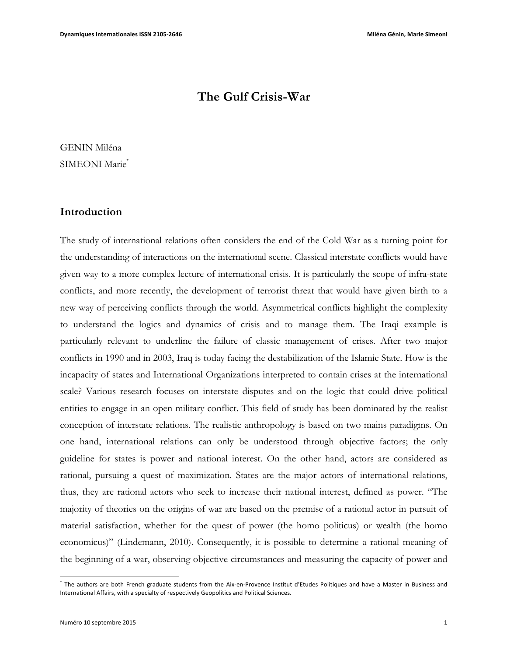# **The Gulf Crisis-War**

GENIN Miléna SIMEONI Marie<sup>\*</sup>

### **Introduction**

The study of international relations often considers the end of the Cold War as a turning point for the understanding of interactions on the international scene. Classical interstate conflicts would have given way to a more complex lecture of international crisis. It is particularly the scope of infra-state conflicts, and more recently, the development of terrorist threat that would have given birth to a new way of perceiving conflicts through the world. Asymmetrical conflicts highlight the complexity to understand the logics and dynamics of crisis and to manage them. The Iraqi example is particularly relevant to underline the failure of classic management of crises. After two major conflicts in 1990 and in 2003, Iraq is today facing the destabilization of the Islamic State. How is the incapacity of states and International Organizations interpreted to contain crises at the international scale? Various research focuses on interstate disputes and on the logic that could drive political entities to engage in an open military conflict. This field of study has been dominated by the realist conception of interstate relations. The realistic anthropology is based on two mains paradigms. On one hand, international relations can only be understood through objective factors; the only guideline for states is power and national interest. On the other hand, actors are considered as rational, pursuing a quest of maximization. States are the major actors of international relations, thus, they are rational actors who seek to increase their national interest, defined as power. "The majority of theories on the origins of war are based on the premise of a rational actor in pursuit of material satisfaction, whether for the quest of power (the homo politicus) or wealth (the homo economicus)" (Lindemann, 2010). Consequently, it is possible to determine a rational meaning of the beginning of a war, observing objective circumstances and measuring the capacity of power and

 $\overline{a}$ 

The authors are both French graduate students from the Aix-en-Provence Institut d'Etudes Politiques and have a Master in Business and International Affairs, with a specialty of respectively Geopolitics and Political Sciences.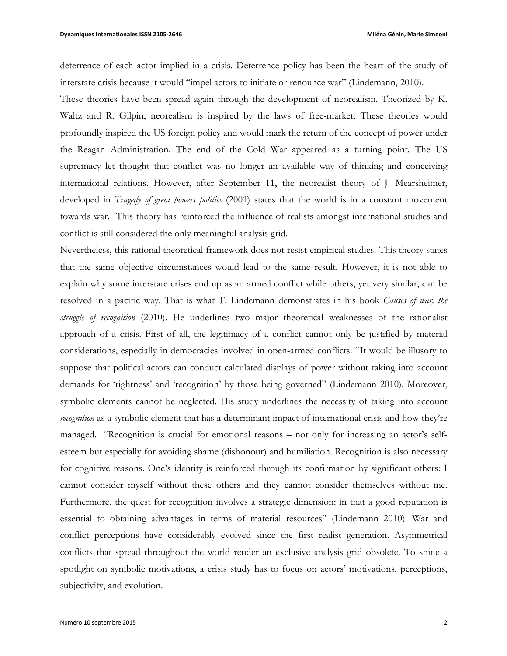deterrence of each actor implied in a crisis. Deterrence policy has been the heart of the study of interstate crisis because it would "impel actors to initiate or renounce war" (Lindemann, 2010).

These theories have been spread again through the development of neorealism. Theorized by K. Waltz and R. Gilpin, neorealism is inspired by the laws of free-market. These theories would profoundly inspired the US foreign policy and would mark the return of the concept of power under the Reagan Administration. The end of the Cold War appeared as a turning point. The US supremacy let thought that conflict was no longer an available way of thinking and conceiving international relations. However, after September 11, the neorealist theory of J. Mearsheimer, developed in *Tragedy of great powers politics* (2001) states that the world is in a constant movement towards war. This theory has reinforced the influence of realists amongst international studies and conflict is still considered the only meaningful analysis grid.

Nevertheless, this rational theoretical framework does not resist empirical studies. This theory states that the same objective circumstances would lead to the same result. However, it is not able to explain why some interstate crises end up as an armed conflict while others, yet very similar, can be resolved in a pacific way. That is what T. Lindemann demonstrates in his book *Causes of war, the struggle of recognition* (2010). He underlines two major theoretical weaknesses of the rationalist approach of a crisis. First of all, the legitimacy of a conflict cannot only be justified by material considerations, especially in democracies involved in open-armed conflicts: "It would be illusory to suppose that political actors can conduct calculated displays of power without taking into account demands for 'rightness' and 'recognition' by those being governed" (Lindemann 2010). Moreover, symbolic elements cannot be neglected. His study underlines the necessity of taking into account *recognition* as a symbolic element that has a determinant impact of international crisis and how they're managed. "Recognition is crucial for emotional reasons – not only for increasing an actor's selfesteem but especially for avoiding shame (dishonour) and humiliation. Recognition is also necessary for cognitive reasons. One's identity is reinforced through its confirmation by significant others: I cannot consider myself without these others and they cannot consider themselves without me. Furthermore, the quest for recognition involves a strategic dimension: in that a good reputation is essential to obtaining advantages in terms of material resources" (Lindemann 2010). War and conflict perceptions have considerably evolved since the first realist generation. Asymmetrical conflicts that spread throughout the world render an exclusive analysis grid obsolete. To shine a spotlight on symbolic motivations, a crisis study has to focus on actors' motivations, perceptions, subjectivity, and evolution.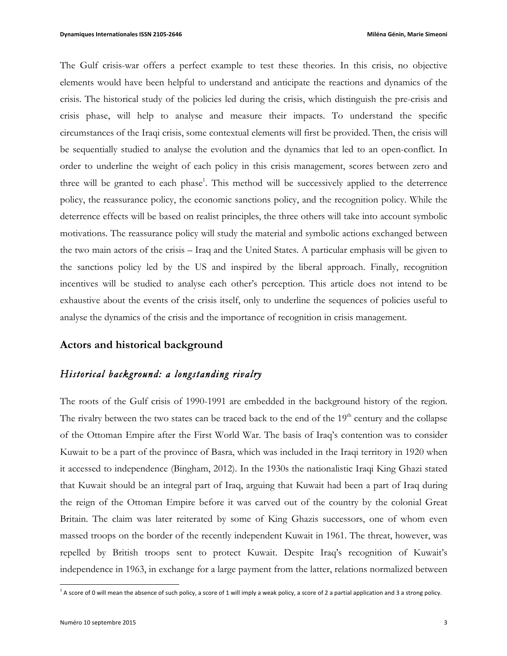The Gulf crisis-war offers a perfect example to test these theories. In this crisis, no objective elements would have been helpful to understand and anticipate the reactions and dynamics of the crisis. The historical study of the policies led during the crisis, which distinguish the pre-crisis and crisis phase, will help to analyse and measure their impacts. To understand the specific circumstances of the Iraqi crisis, some contextual elements will first be provided. Then, the crisis will be sequentially studied to analyse the evolution and the dynamics that led to an open-conflict. In order to underline the weight of each policy in this crisis management, scores between zero and three will be granted to each phase<sup>1</sup>. This method will be successively applied to the deterrence policy, the reassurance policy, the economic sanctions policy, and the recognition policy. While the deterrence effects will be based on realist principles, the three others will take into account symbolic motivations. The reassurance policy will study the material and symbolic actions exchanged between the two main actors of the crisis – Iraq and the United States. A particular emphasis will be given to the sanctions policy led by the US and inspired by the liberal approach. Finally, recognition incentives will be studied to analyse each other's perception. This article does not intend to be exhaustive about the events of the crisis itself, only to underline the sequences of policies useful to analyse the dynamics of the crisis and the importance of recognition in crisis management.

#### **Actors and historical background**

## *Historical background: a longstanding rivalry*

The roots of the Gulf crisis of 1990-1991 are embedded in the background history of the region. The rivalry between the two states can be traced back to the end of the  $19<sup>th</sup>$  century and the collapse of the Ottoman Empire after the First World War. The basis of Iraq's contention was to consider Kuwait to be a part of the province of Basra, which was included in the Iraqi territory in 1920 when it accessed to independence (Bingham, 2012). In the 1930s the nationalistic Iraqi King Ghazi stated that Kuwait should be an integral part of Iraq, arguing that Kuwait had been a part of Iraq during the reign of the Ottoman Empire before it was carved out of the country by the colonial Great Britain. The claim was later reiterated by some of King Ghazis successors, one of whom even massed troops on the border of the recently independent Kuwait in 1961. The threat, however, was repelled by British troops sent to protect Kuwait. Despite Iraq's recognition of Kuwait's independence in 1963, in exchange for a large payment from the latter, relations normalized between

 $^1$  A score of 0 will mean the absence of such policy, a score of 1 will imply a weak policy, a score of 2 a partial application and 3 a strong policy.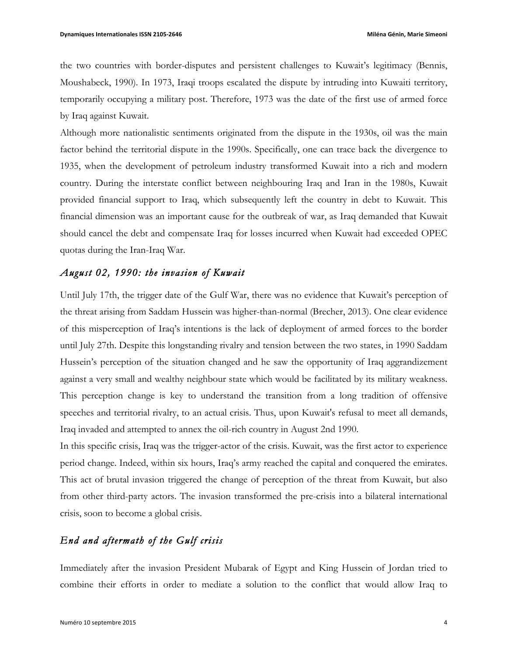the two countries with border-disputes and persistent challenges to Kuwait's legitimacy (Bennis, Moushabeck, 1990). In 1973, Iraqi troops escalated the dispute by intruding into Kuwaiti territory, temporarily occupying a military post. Therefore, 1973 was the date of the first use of armed force by Iraq against Kuwait.

Although more nationalistic sentiments originated from the dispute in the 1930s, oil was the main factor behind the territorial dispute in the 1990s. Specifically, one can trace back the divergence to 1935, when the development of petroleum industry transformed Kuwait into a rich and modern country. During the interstate conflict between neighbouring Iraq and Iran in the 1980s, Kuwait provided financial support to Iraq, which subsequently left the country in debt to Kuwait. This financial dimension was an important cause for the outbreak of war, as Iraq demanded that Kuwait should cancel the debt and compensate Iraq for losses incurred when Kuwait had exceeded OPEC quotas during the Iran-Iraq War.

### *August 02, 1990: the invasion of Kuwait*

Until July 17th, the trigger date of the Gulf War, there was no evidence that Kuwait's perception of the threat arising from Saddam Hussein was higher-than-normal (Brecher, 2013). One clear evidence of this misperception of Iraq's intentions is the lack of deployment of armed forces to the border until July 27th. Despite this longstanding rivalry and tension between the two states, in 1990 Saddam Hussein's perception of the situation changed and he saw the opportunity of Iraq aggrandizement against a very small and wealthy neighbour state which would be facilitated by its military weakness. This perception change is key to understand the transition from a long tradition of offensive speeches and territorial rivalry, to an actual crisis. Thus, upon Kuwait's refusal to meet all demands, Iraq invaded and attempted to annex the oil-rich country in August 2nd 1990.

In this specific crisis, Iraq was the trigger-actor of the crisis. Kuwait, was the first actor to experience period change. Indeed, within six hours, Iraq's army reached the capital and conquered the emirates. This act of brutal invasion triggered the change of perception of the threat from Kuwait, but also from other third-party actors. The invasion transformed the pre-crisis into a bilateral international crisis, soon to become a global crisis.

## *End and aftermath of the Gulf crisis*

Immediately after the invasion President Mubarak of Egypt and King Hussein of Jordan tried to combine their efforts in order to mediate a solution to the conflict that would allow Iraq to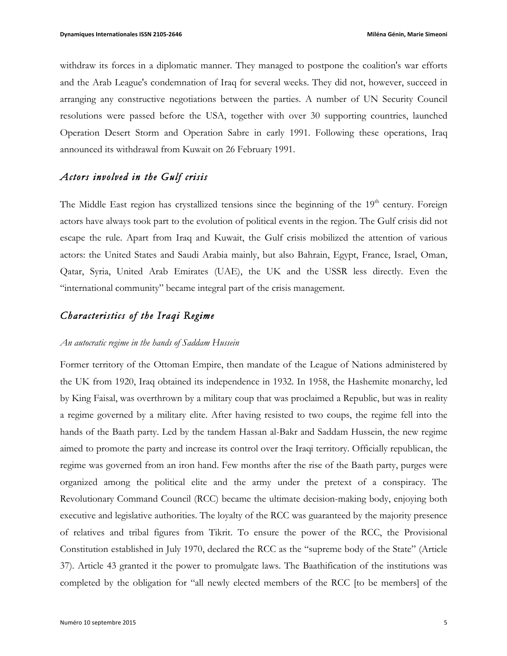withdraw its forces in a diplomatic manner. They managed to postpone the coalition's war efforts and the Arab League's condemnation of Iraq for several weeks. They did not, however, succeed in arranging any constructive negotiations between the parties. A number of UN Security Council resolutions were passed before the USA, together with over 30 supporting countries, launched Operation Desert Storm and Operation Sabre in early 1991. Following these operations, Iraq announced its withdrawal from Kuwait on 26 February 1991.

### *Actors involved in the Gulf crisis*

The Middle East region has crystallized tensions since the beginning of the  $19<sup>th</sup>$  century. Foreign actors have always took part to the evolution of political events in the region. The Gulf crisis did not escape the rule. Apart from Iraq and Kuwait, the Gulf crisis mobilized the attention of various actors: the United States and Saudi Arabia mainly, but also Bahrain, Egypt, France, Israel, Oman, Qatar, Syria, United Arab Emirates (UAE), the UK and the USSR less directly. Even the "international community" became integral part of the crisis management.

## *Characteristics of the Iraqi Regime*

#### *An autocratic regime in the hands of Saddam Hussein*

Former territory of the Ottoman Empire, then mandate of the League of Nations administered by the UK from 1920, Iraq obtained its independence in 1932. In 1958, the Hashemite monarchy, led by King Faisal, was overthrown by a military coup that was proclaimed a Republic, but was in reality a regime governed by a military elite. After having resisted to two coups, the regime fell into the hands of the Baath party. Led by the tandem Hassan al-Bakr and Saddam Hussein, the new regime aimed to promote the party and increase its control over the Iraqi territory. Officially republican, the regime was governed from an iron hand. Few months after the rise of the Baath party, purges were organized among the political elite and the army under the pretext of a conspiracy. The Revolutionary Command Council (RCC) became the ultimate decision-making body, enjoying both executive and legislative authorities. The loyalty of the RCC was guaranteed by the majority presence of relatives and tribal figures from Tikrit. To ensure the power of the RCC, the Provisional Constitution established in July 1970, declared the RCC as the "supreme body of the State" (Article 37). Article 43 granted it the power to promulgate laws. The Baathification of the institutions was completed by the obligation for "all newly elected members of the RCC [to be members] of the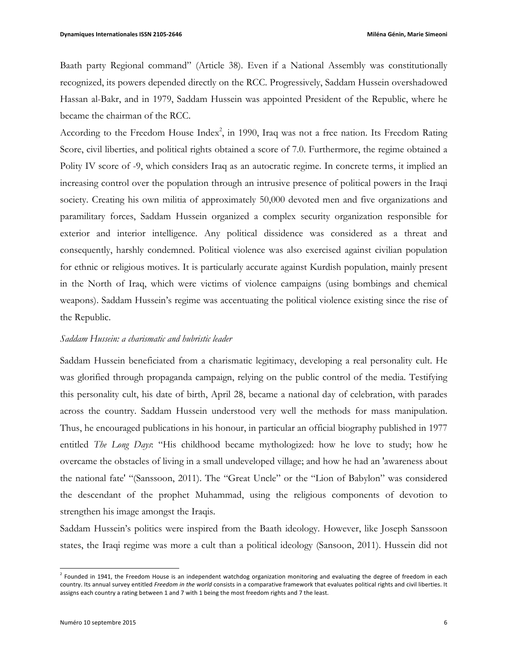Baath party Regional command" (Article 38). Even if a National Assembly was constitutionally recognized, its powers depended directly on the RCC. Progressively, Saddam Hussein overshadowed Hassan al-Bakr, and in 1979, Saddam Hussein was appointed President of the Republic, where he became the chairman of the RCC.

According to the Freedom House Index<sup>2</sup>, in 1990, Iraq was not a free nation. Its Freedom Rating Score, civil liberties, and political rights obtained a score of 7.0. Furthermore, the regime obtained a Polity IV score of -9, which considers Iraq as an autocratic regime. In concrete terms, it implied an increasing control over the population through an intrusive presence of political powers in the Iraqi society. Creating his own militia of approximately 50,000 devoted men and five organizations and paramilitary forces, Saddam Hussein organized a complex security organization responsible for exterior and interior intelligence. Any political dissidence was considered as a threat and consequently, harshly condemned. Political violence was also exercised against civilian population for ethnic or religious motives. It is particularly accurate against Kurdish population, mainly present in the North of Iraq, which were victims of violence campaigns (using bombings and chemical weapons). Saddam Hussein's regime was accentuating the political violence existing since the rise of the Republic.

#### *Saddam Hussein: a charismatic and hubristic leader*

Saddam Hussein beneficiated from a charismatic legitimacy, developing a real personality cult. He was glorified through propaganda campaign, relying on the public control of the media. Testifying this personality cult, his date of birth, April 28, became a national day of celebration, with parades across the country. Saddam Hussein understood very well the methods for mass manipulation. Thus, he encouraged publications in his honour, in particular an official biography published in 1977 entitled *The Long Days*: "His childhood became mythologized: how he love to study; how he overcame the obstacles of living in a small undeveloped village; and how he had an 'awareness about the national fate' "(Sanssoon, 2011). The "Great Uncle" or the "Lion of Babylon" was considered the descendant of the prophet Muhammad, using the religious components of devotion to strengthen his image amongst the Iraqis.

Saddam Hussein's politics were inspired from the Baath ideology. However, like Joseph Sanssoon states, the Iraqi regime was more a cult than a political ideology (Sansoon, 2011). Hussein did not

 $<sup>2</sup>$  Founded in 1941, the Freedom House is an independent watchdog organization monitoring and evaluating the degree of freedom in each</sup> country. Its annual survey entitled Freedom in the world consists in a comparative framework that evaluates political rights and civil liberties. It assigns each country a rating between 1 and 7 with 1 being the most freedom rights and 7 the least.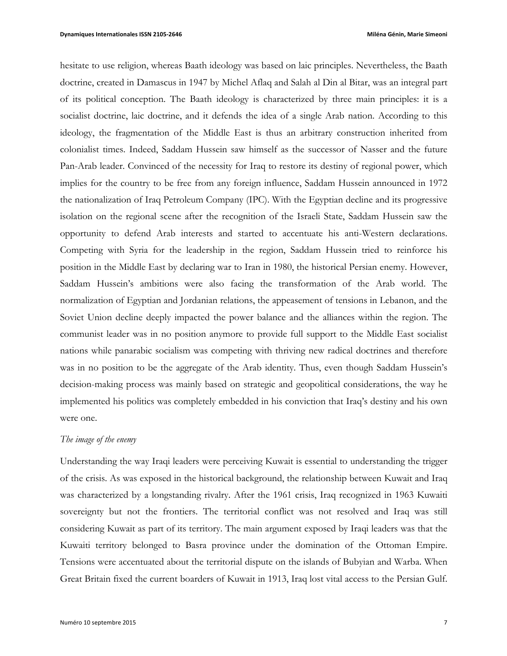hesitate to use religion, whereas Baath ideology was based on laic principles. Nevertheless, the Baath doctrine, created in Damascus in 1947 by Michel Aflaq and Salah al Din al Bitar, was an integral part of its political conception. The Baath ideology is characterized by three main principles: it is a socialist doctrine, laic doctrine, and it defends the idea of a single Arab nation. According to this ideology, the fragmentation of the Middle East is thus an arbitrary construction inherited from colonialist times. Indeed, Saddam Hussein saw himself as the successor of Nasser and the future Pan-Arab leader. Convinced of the necessity for Iraq to restore its destiny of regional power, which implies for the country to be free from any foreign influence, Saddam Hussein announced in 1972 the nationalization of Iraq Petroleum Company (IPC). With the Egyptian decline and its progressive isolation on the regional scene after the recognition of the Israeli State, Saddam Hussein saw the opportunity to defend Arab interests and started to accentuate his anti-Western declarations. Competing with Syria for the leadership in the region, Saddam Hussein tried to reinforce his position in the Middle East by declaring war to Iran in 1980, the historical Persian enemy. However, Saddam Hussein's ambitions were also facing the transformation of the Arab world. The normalization of Egyptian and Jordanian relations, the appeasement of tensions in Lebanon, and the Soviet Union decline deeply impacted the power balance and the alliances within the region. The communist leader was in no position anymore to provide full support to the Middle East socialist nations while panarabic socialism was competing with thriving new radical doctrines and therefore was in no position to be the aggregate of the Arab identity. Thus, even though Saddam Hussein's decision-making process was mainly based on strategic and geopolitical considerations, the way he implemented his politics was completely embedded in his conviction that Iraq's destiny and his own were one.

### *The image of the enemy*

Understanding the way Iraqi leaders were perceiving Kuwait is essential to understanding the trigger of the crisis. As was exposed in the historical background, the relationship between Kuwait and Iraq was characterized by a longstanding rivalry. After the 1961 crisis, Iraq recognized in 1963 Kuwaiti sovereignty but not the frontiers. The territorial conflict was not resolved and Iraq was still considering Kuwait as part of its territory. The main argument exposed by Iraqi leaders was that the Kuwaiti territory belonged to Basra province under the domination of the Ottoman Empire. Tensions were accentuated about the territorial dispute on the islands of Bubyian and Warba. When Great Britain fixed the current boarders of Kuwait in 1913, Iraq lost vital access to the Persian Gulf.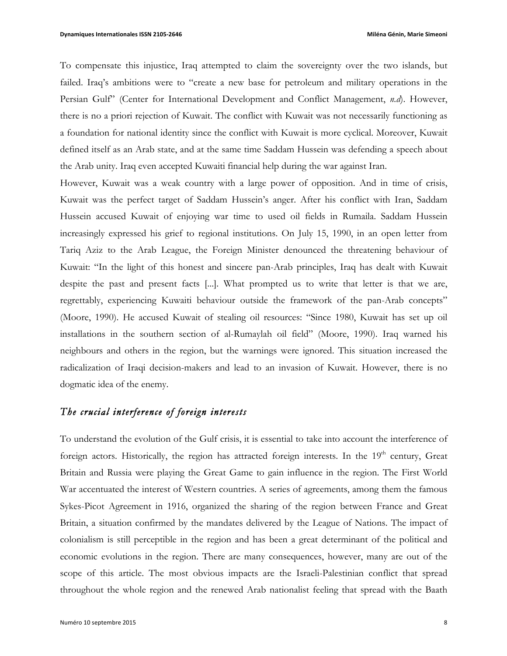To compensate this injustice, Iraq attempted to claim the sovereignty over the two islands, but failed. Iraq's ambitions were to "create a new base for petroleum and military operations in the Persian Gulf" (Center for International Development and Conflict Management, *n.d*). However, there is no a priori rejection of Kuwait. The conflict with Kuwait was not necessarily functioning as a foundation for national identity since the conflict with Kuwait is more cyclical. Moreover, Kuwait defined itself as an Arab state, and at the same time Saddam Hussein was defending a speech about the Arab unity. Iraq even accepted Kuwaiti financial help during the war against Iran.

However, Kuwait was a weak country with a large power of opposition. And in time of crisis, Kuwait was the perfect target of Saddam Hussein's anger. After his conflict with Iran, Saddam Hussein accused Kuwait of enjoying war time to used oil fields in Rumaila. Saddam Hussein increasingly expressed his grief to regional institutions. On July 15, 1990, in an open letter from Tariq Aziz to the Arab League, the Foreign Minister denounced the threatening behaviour of Kuwait: "In the light of this honest and sincere pan-Arab principles, Iraq has dealt with Kuwait despite the past and present facts [...]. What prompted us to write that letter is that we are, regrettably, experiencing Kuwaiti behaviour outside the framework of the pan-Arab concepts" (Moore, 1990). He accused Kuwait of stealing oil resources: "Since 1980, Kuwait has set up oil installations in the southern section of al-Rumaylah oil field" (Moore, 1990). Iraq warned his neighbours and others in the region, but the warnings were ignored. This situation increased the radicalization of Iraqi decision-makers and lead to an invasion of Kuwait. However, there is no dogmatic idea of the enemy.

## *The crucial interference of foreign interests*

To understand the evolution of the Gulf crisis, it is essential to take into account the interference of foreign actors. Historically, the region has attracted foreign interests. In the 19<sup>th</sup> century, Great Britain and Russia were playing the Great Game to gain influence in the region. The First World War accentuated the interest of Western countries. A series of agreements, among them the famous Sykes-Picot Agreement in 1916, organized the sharing of the region between France and Great Britain, a situation confirmed by the mandates delivered by the League of Nations. The impact of colonialism is still perceptible in the region and has been a great determinant of the political and economic evolutions in the region. There are many consequences, however, many are out of the scope of this article. The most obvious impacts are the Israeli-Palestinian conflict that spread throughout the whole region and the renewed Arab nationalist feeling that spread with the Baath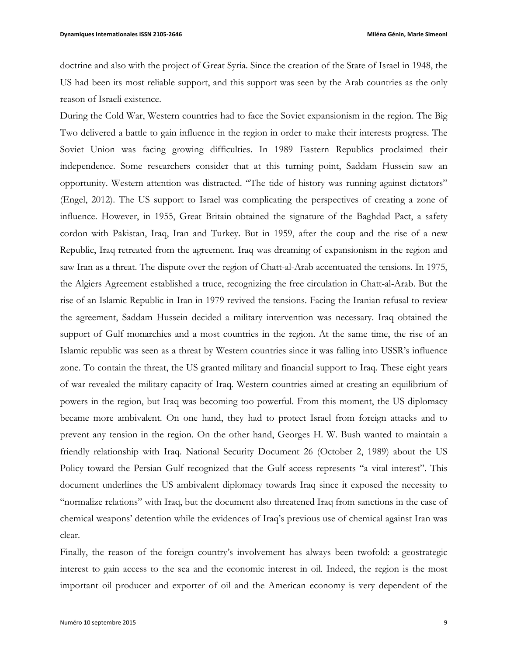doctrine and also with the project of Great Syria. Since the creation of the State of Israel in 1948, the US had been its most reliable support, and this support was seen by the Arab countries as the only reason of Israeli existence.

During the Cold War, Western countries had to face the Soviet expansionism in the region. The Big Two delivered a battle to gain influence in the region in order to make their interests progress. The Soviet Union was facing growing difficulties. In 1989 Eastern Republics proclaimed their independence. Some researchers consider that at this turning point, Saddam Hussein saw an opportunity. Western attention was distracted. "The tide of history was running against dictators" (Engel, 2012). The US support to Israel was complicating the perspectives of creating a zone of influence. However, in 1955, Great Britain obtained the signature of the Baghdad Pact, a safety cordon with Pakistan, Iraq, Iran and Turkey. But in 1959, after the coup and the rise of a new Republic, Iraq retreated from the agreement. Iraq was dreaming of expansionism in the region and saw Iran as a threat. The dispute over the region of Chatt-al-Arab accentuated the tensions. In 1975, the Algiers Agreement established a truce, recognizing the free circulation in Chatt-al-Arab. But the rise of an Islamic Republic in Iran in 1979 revived the tensions. Facing the Iranian refusal to review the agreement, Saddam Hussein decided a military intervention was necessary. Iraq obtained the support of Gulf monarchies and a most countries in the region. At the same time, the rise of an Islamic republic was seen as a threat by Western countries since it was falling into USSR's influence zone. To contain the threat, the US granted military and financial support to Iraq. These eight years of war revealed the military capacity of Iraq. Western countries aimed at creating an equilibrium of powers in the region, but Iraq was becoming too powerful. From this moment, the US diplomacy became more ambivalent. On one hand, they had to protect Israel from foreign attacks and to prevent any tension in the region. On the other hand, Georges H. W. Bush wanted to maintain a friendly relationship with Iraq. National Security Document 26 (October 2, 1989) about the US Policy toward the Persian Gulf recognized that the Gulf access represents "a vital interest". This document underlines the US ambivalent diplomacy towards Iraq since it exposed the necessity to "normalize relations" with Iraq, but the document also threatened Iraq from sanctions in the case of chemical weapons' detention while the evidences of Iraq's previous use of chemical against Iran was clear.

Finally, the reason of the foreign country's involvement has always been twofold: a geostrategic interest to gain access to the sea and the economic interest in oil. Indeed, the region is the most important oil producer and exporter of oil and the American economy is very dependent of the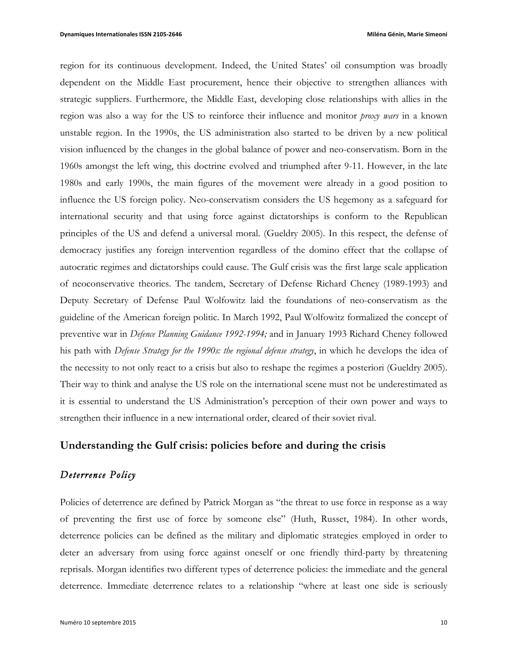region for its continuous development. Indeed, the United States' oil consumption was broadly dependent on the Middle East procurement, hence their objective to strengthen alliances with strategic suppliers. Furthermore, the Middle East, developing close relationships with allies in the region was also a way for the US to reinforce their influence and monitor *proxy wars* in a known unstable region. In the 1990s, the US administration also started to be driven by a new political vision influenced by the changes in the global balance of power and neo-conservatism. Born in the 1960s amongst the left wing, this doctrine evolved and triumphed after 9-11. However, in the late 1980s and early 1990s, the main figures of the movement were already in a good position to influence the US foreign policy. Neo-conservatism considers the US hegemony as a safeguard for international security and that using force against dictatorships is conform to the Republican principles of the US and defend a universal moral. (Gueldry 2005). In this respect, the defense of democracy justifies any foreign intervention regardless of the domino effect that the collapse of autocratic regimes and dictatorships could cause. The Gulf crisis was the first large scale application of neoconservative theories. The tandem, Secretary of Defense Richard Cheney (1989-1993) and Deputy Secretary of Defense Paul Wolfowitz laid the foundations of neo-conservatism as the guideline of the American foreign politic. In March 1992, Paul Wolfowitz formalized the concept of preventive war in *Defence Planning Guidance 1992-1994;* and in January 1993 Richard Cheney followed his path with *Defense Strategy for the 1990s: the regional defense strategy*, in which he develops the idea of the necessity to not only react to a crisis but also to reshape the regimes a posteriori (Gueldry 2005). Their way to think and analyse the US role on the international scene must not be underestimated as it is essential to understand the US Administration's perception of their own power and ways to strengthen their influence in a new international order, cleared of their soviet rival.

### **Understanding the Gulf crisis: policies before and during the crisis**

## *Deterrence Policy*

Policies of deterrence are defined by Patrick Morgan as "the threat to use force in response as a way of preventing the first use of force by someone else" (Huth, Russet, 1984). In other words, deterrence policies can be defined as the military and diplomatic strategies employed in order to deter an adversary from using force against oneself or one friendly third-party by threatening reprisals. Morgan identifies two different types of deterrence policies: the immediate and the general deterrence. Immediate deterrence relates to a relationship "where at least one side is seriously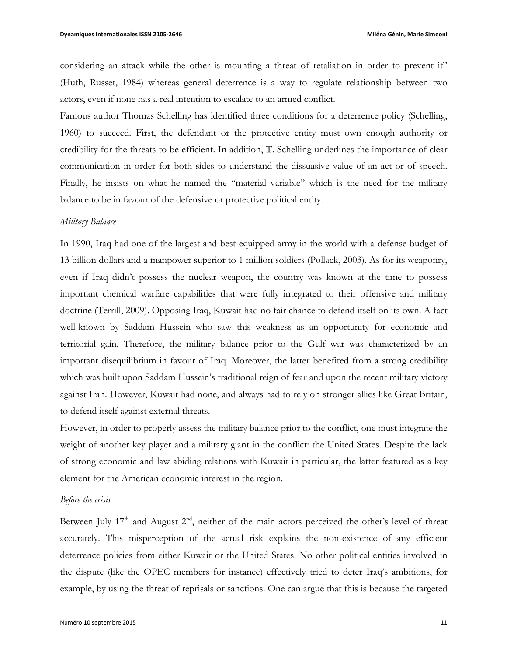considering an attack while the other is mounting a threat of retaliation in order to prevent it" (Huth, Russet, 1984) whereas general deterrence is a way to regulate relationship between two actors, even if none has a real intention to escalate to an armed conflict.

Famous author Thomas Schelling has identified three conditions for a deterrence policy (Schelling, 1960) to succeed. First, the defendant or the protective entity must own enough authority or credibility for the threats to be efficient. In addition, T. Schelling underlines the importance of clear communication in order for both sides to understand the dissuasive value of an act or of speech. Finally, he insists on what he named the "material variable" which is the need for the military balance to be in favour of the defensive or protective political entity.

### *Military Balance*

In 1990, Iraq had one of the largest and best-equipped army in the world with a defense budget of 13 billion dollars and a manpower superior to 1 million soldiers (Pollack, 2003). As for its weaponry, even if Iraq didn't possess the nuclear weapon, the country was known at the time to possess important chemical warfare capabilities that were fully integrated to their offensive and military doctrine (Terrill, 2009). Opposing Iraq, Kuwait had no fair chance to defend itself on its own. A fact well-known by Saddam Hussein who saw this weakness as an opportunity for economic and territorial gain. Therefore, the military balance prior to the Gulf war was characterized by an important disequilibrium in favour of Iraq. Moreover, the latter benefited from a strong credibility which was built upon Saddam Hussein's traditional reign of fear and upon the recent military victory against Iran. However, Kuwait had none, and always had to rely on stronger allies like Great Britain, to defend itself against external threats.

However, in order to properly assess the military balance prior to the conflict, one must integrate the weight of another key player and a military giant in the conflict: the United States. Despite the lack of strong economic and law abiding relations with Kuwait in particular, the latter featured as a key element for the American economic interest in the region.

#### *Before the crisis*

Between July  $17<sup>th</sup>$  and August  $2<sup>nd</sup>$ , neither of the main actors perceived the other's level of threat accurately. This misperception of the actual risk explains the non-existence of any efficient deterrence policies from either Kuwait or the United States. No other political entities involved in the dispute (like the OPEC members for instance) effectively tried to deter Iraq's ambitions, for example, by using the threat of reprisals or sanctions. One can argue that this is because the targeted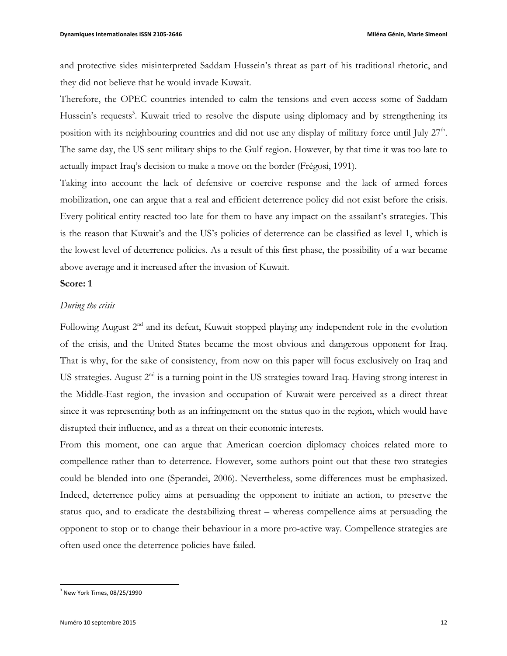and protective sides misinterpreted Saddam Hussein's threat as part of his traditional rhetoric, and they did not believe that he would invade Kuwait.

Therefore, the OPEC countries intended to calm the tensions and even access some of Saddam Hussein's requests<sup>3</sup>. Kuwait tried to resolve the dispute using diplomacy and by strengthening its position with its neighbouring countries and did not use any display of military force until July 27<sup>th</sup>. The same day, the US sent military ships to the Gulf region. However, by that time it was too late to actually impact Iraq's decision to make a move on the border (Frégosi, 1991).

Taking into account the lack of defensive or coercive response and the lack of armed forces mobilization, one can argue that a real and efficient deterrence policy did not exist before the crisis. Every political entity reacted too late for them to have any impact on the assailant's strategies. This is the reason that Kuwait's and the US's policies of deterrence can be classified as level 1, which is the lowest level of deterrence policies. As a result of this first phase, the possibility of a war became above average and it increased after the invasion of Kuwait.

### **Score: 1**

### *During the crisis*

Following August 2<sup>nd</sup> and its defeat, Kuwait stopped playing any independent role in the evolution of the crisis, and the United States became the most obvious and dangerous opponent for Iraq. That is why, for the sake of consistency, from now on this paper will focus exclusively on Iraq and US strategies. August  $2<sup>nd</sup>$  is a turning point in the US strategies toward Iraq. Having strong interest in the Middle-East region, the invasion and occupation of Kuwait were perceived as a direct threat since it was representing both as an infringement on the status quo in the region, which would have disrupted their influence, and as a threat on their economic interests.

From this moment, one can argue that American coercion diplomacy choices related more to compellence rather than to deterrence. However, some authors point out that these two strategies could be blended into one (Sperandei, 2006). Nevertheless, some differences must be emphasized. Indeed, deterrence policy aims at persuading the opponent to initiate an action, to preserve the status quo, and to eradicate the destabilizing threat – whereas compellence aims at persuading the opponent to stop or to change their behaviour in a more pro-active way. Compellence strategies are often used once the deterrence policies have failed.

 $3$  New York Times, 08/25/1990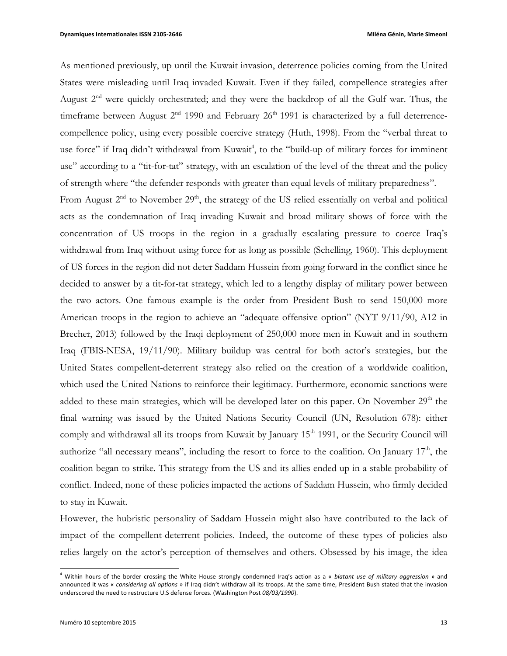As mentioned previously, up until the Kuwait invasion, deterrence policies coming from the United States were misleading until Iraq invaded Kuwait. Even if they failed, compellence strategies after August  $2<sup>nd</sup>$  were quickly orchestrated; and they were the backdrop of all the Gulf war. Thus, the timeframe between August  $2^{nd}$  1990 and February  $26^{th}$  1991 is characterized by a full deterrencecompellence policy, using every possible coercive strategy (Huth, 1998). From the "verbal threat to use force" if Iraq didn't withdrawal from Kuwait<sup>4</sup>, to the "build-up of military forces for imminent use" according to a "tit-for-tat" strategy, with an escalation of the level of the threat and the policy of strength where "the defender responds with greater than equal levels of military preparedness".

From August  $2<sup>nd</sup>$  to November  $29<sup>th</sup>$ , the strategy of the US relied essentially on verbal and political acts as the condemnation of Iraq invading Kuwait and broad military shows of force with the concentration of US troops in the region in a gradually escalating pressure to coerce Iraq's withdrawal from Iraq without using force for as long as possible (Schelling, 1960). This deployment of US forces in the region did not deter Saddam Hussein from going forward in the conflict since he decided to answer by a tit-for-tat strategy, which led to a lengthy display of military power between the two actors. One famous example is the order from President Bush to send 150,000 more American troops in the region to achieve an "adequate offensive option" (NYT 9/11/90, A12 in Brecher, 2013) followed by the Iraqi deployment of 250,000 more men in Kuwait and in southern Iraq (FBIS-NESA, 19/11/90). Military buildup was central for both actor's strategies, but the United States compellent-deterrent strategy also relied on the creation of a worldwide coalition, which used the United Nations to reinforce their legitimacy. Furthermore, economic sanctions were added to these main strategies, which will be developed later on this paper. On November 29<sup>th</sup> the final warning was issued by the United Nations Security Council (UN, Resolution 678): either comply and withdrawal all its troops from Kuwait by January 15<sup>th</sup> 1991, or the Security Council will authorize "all necessary means", including the resort to force to the coalition. On January  $17<sup>th</sup>$ , the coalition began to strike. This strategy from the US and its allies ended up in a stable probability of conflict. Indeed, none of these policies impacted the actions of Saddam Hussein, who firmly decided to stay in Kuwait.

However, the hubristic personality of Saddam Hussein might also have contributed to the lack of impact of the compellent-deterrent policies. Indeed, the outcome of these types of policies also relies largely on the actor's perception of themselves and others. Obsessed by his image, the idea

<sup>&</sup>lt;sup>4</sup> Within hours of the border crossing the White House strongly condemned Iraq's action as a « *blatant use of military aggression* » and announced it was « *considering all options* » if Iraq didn't withdraw all its troops. At the same time, President Bush stated that the invasion underscored the need to restructure U.S defense forces. (Washington Post 08/03/1990).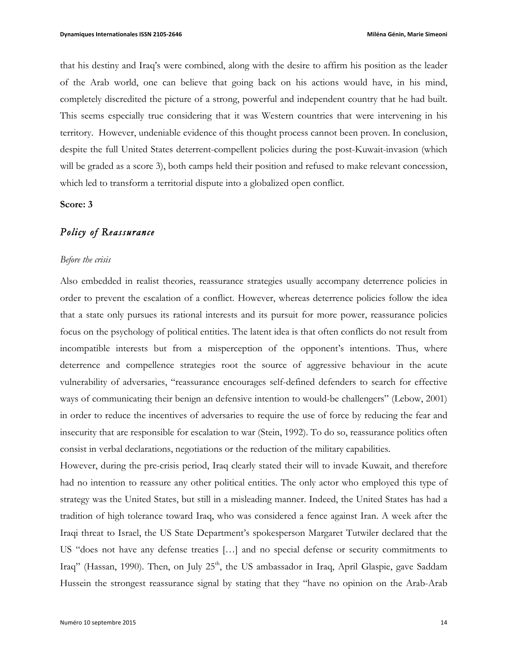that his destiny and Iraq's were combined, along with the desire to affirm his position as the leader of the Arab world, one can believe that going back on his actions would have, in his mind, completely discredited the picture of a strong, powerful and independent country that he had built. This seems especially true considering that it was Western countries that were intervening in his territory. However, undeniable evidence of this thought process cannot been proven. In conclusion, despite the full United States deterrent-compellent policies during the post-Kuwait-invasion (which will be graded as a score 3), both camps held their position and refused to make relevant concession, which led to transform a territorial dispute into a globalized open conflict.

### **Score: 3**

### *Policy of Reassurance*

#### *Before the crisis*

Also embedded in realist theories, reassurance strategies usually accompany deterrence policies in order to prevent the escalation of a conflict. However, whereas deterrence policies follow the idea that a state only pursues its rational interests and its pursuit for more power, reassurance policies focus on the psychology of political entities. The latent idea is that often conflicts do not result from incompatible interests but from a misperception of the opponent's intentions. Thus, where deterrence and compellence strategies root the source of aggressive behaviour in the acute vulnerability of adversaries, "reassurance encourages self-defined defenders to search for effective ways of communicating their benign an defensive intention to would-be challengers" (Lebow, 2001) in order to reduce the incentives of adversaries to require the use of force by reducing the fear and insecurity that are responsible for escalation to war (Stein, 1992). To do so, reassurance politics often consist in verbal declarations, negotiations or the reduction of the military capabilities.

However, during the pre-crisis period, Iraq clearly stated their will to invade Kuwait, and therefore had no intention to reassure any other political entities. The only actor who employed this type of strategy was the United States, but still in a misleading manner. Indeed, the United States has had a tradition of high tolerance toward Iraq, who was considered a fence against Iran. A week after the Iraqi threat to Israel, the US State Department's spokesperson Margaret Tutwiler declared that the US "does not have any defense treaties […] and no special defense or security commitments to Iraq" (Hassan, 1990). Then, on July 25<sup>th</sup>, the US ambassador in Iraq, April Glaspie, gave Saddam Hussein the strongest reassurance signal by stating that they "have no opinion on the Arab-Arab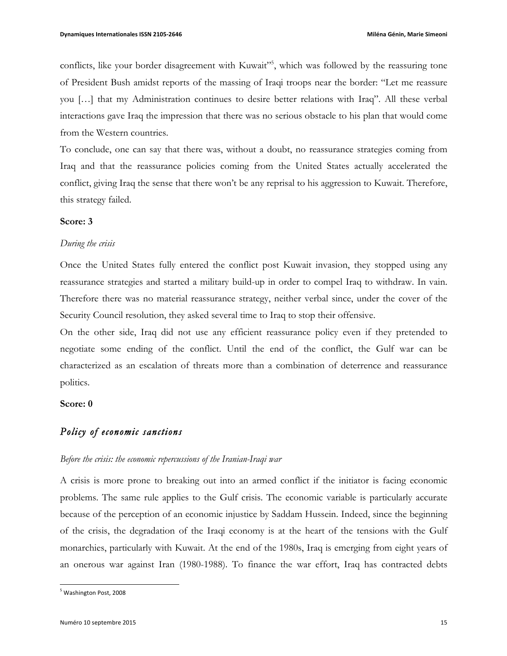conflicts, like your border disagreement with Kuwait"<sup>5</sup>, which was followed by the reassuring tone of President Bush amidst reports of the massing of Iraqi troops near the border: "Let me reassure you […] that my Administration continues to desire better relations with Iraq". All these verbal interactions gave Iraq the impression that there was no serious obstacle to his plan that would come from the Western countries.

To conclude, one can say that there was, without a doubt, no reassurance strategies coming from Iraq and that the reassurance policies coming from the United States actually accelerated the conflict, giving Iraq the sense that there won't be any reprisal to his aggression to Kuwait. Therefore, this strategy failed.

### **Score: 3**

#### *During the crisis*

Once the United States fully entered the conflict post Kuwait invasion, they stopped using any reassurance strategies and started a military build-up in order to compel Iraq to withdraw. In vain. Therefore there was no material reassurance strategy, neither verbal since, under the cover of the Security Council resolution, they asked several time to Iraq to stop their offensive.

On the other side, Iraq did not use any efficient reassurance policy even if they pretended to negotiate some ending of the conflict. Until the end of the conflict, the Gulf war can be characterized as an escalation of threats more than a combination of deterrence and reassurance politics.

### **Score: 0**

### *Policy of economic sanctions*

#### *Before the crisis: the economic repercussions of the Iranian-Iraqi war*

A crisis is more prone to breaking out into an armed conflict if the initiator is facing economic problems. The same rule applies to the Gulf crisis. The economic variable is particularly accurate because of the perception of an economic injustice by Saddam Hussein. Indeed, since the beginning of the crisis, the degradation of the Iraqi economy is at the heart of the tensions with the Gulf monarchies, particularly with Kuwait. At the end of the 1980s, Iraq is emerging from eight years of an onerous war against Iran (1980-1988). To finance the war effort, Iraq has contracted debts

<sup>&</sup>lt;sup>5</sup> Washington Post, 2008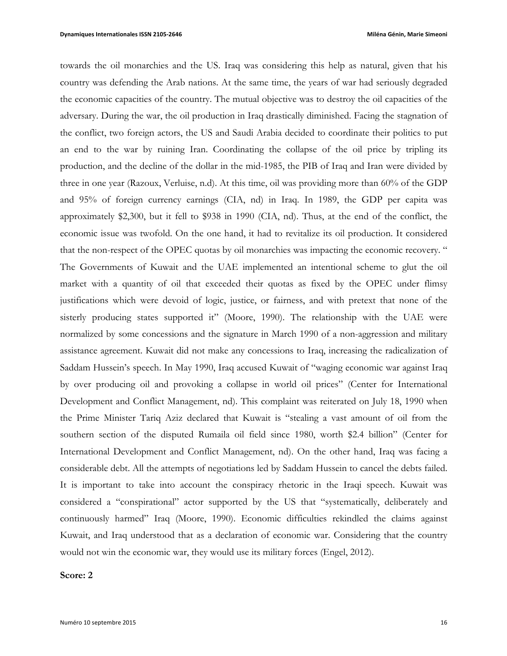towards the oil monarchies and the US. Iraq was considering this help as natural, given that his country was defending the Arab nations. At the same time, the years of war had seriously degraded the economic capacities of the country. The mutual objective was to destroy the oil capacities of the adversary. During the war, the oil production in Iraq drastically diminished. Facing the stagnation of the conflict, two foreign actors, the US and Saudi Arabia decided to coordinate their politics to put an end to the war by ruining Iran. Coordinating the collapse of the oil price by tripling its production, and the decline of the dollar in the mid-1985, the PIB of Iraq and Iran were divided by three in one year (Razoux, Verluise, n.d). At this time, oil was providing more than 60% of the GDP and 95% of foreign currency earnings (CIA, nd) in Iraq. In 1989, the GDP per capita was approximately \$2,300, but it fell to \$938 in 1990 (CIA, nd). Thus, at the end of the conflict, the economic issue was twofold. On the one hand, it had to revitalize its oil production. It considered that the non-respect of the OPEC quotas by oil monarchies was impacting the economic recovery. " The Governments of Kuwait and the UAE implemented an intentional scheme to glut the oil market with a quantity of oil that exceeded their quotas as fixed by the OPEC under flimsy justifications which were devoid of logic, justice, or fairness, and with pretext that none of the sisterly producing states supported it" (Moore, 1990). The relationship with the UAE were normalized by some concessions and the signature in March 1990 of a non-aggression and military assistance agreement. Kuwait did not make any concessions to Iraq, increasing the radicalization of Saddam Hussein's speech. In May 1990, Iraq accused Kuwait of "waging economic war against Iraq by over producing oil and provoking a collapse in world oil prices" (Center for International Development and Conflict Management, nd). This complaint was reiterated on July 18, 1990 when the Prime Minister Tariq Aziz declared that Kuwait is "stealing a vast amount of oil from the southern section of the disputed Rumaila oil field since 1980, worth \$2.4 billion" (Center for International Development and Conflict Management, nd). On the other hand, Iraq was facing a considerable debt. All the attempts of negotiations led by Saddam Hussein to cancel the debts failed. It is important to take into account the conspiracy rhetoric in the Iraqi speech. Kuwait was considered a "conspirational" actor supported by the US that "systematically, deliberately and continuously harmed" Iraq (Moore, 1990). Economic difficulties rekindled the claims against Kuwait, and Iraq understood that as a declaration of economic war. Considering that the country would not win the economic war, they would use its military forces (Engel, 2012).

#### **Score: 2**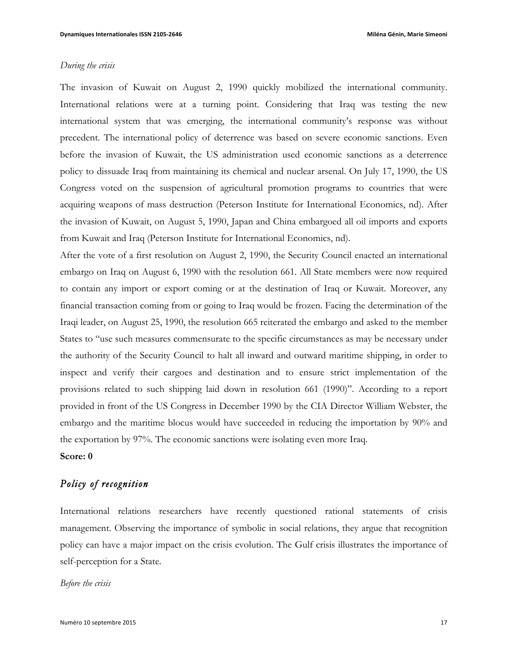#### *During the crisis*

The invasion of Kuwait on August 2, 1990 quickly mobilized the international community. International relations were at a turning point. Considering that Iraq was testing the new international system that was emerging, the international community's response was without precedent. The international policy of deterrence was based on severe economic sanctions. Even before the invasion of Kuwait, the US administration used economic sanctions as a deterrence policy to dissuade Iraq from maintaining its chemical and nuclear arsenal. On July 17, 1990, the US Congress voted on the suspension of agricultural promotion programs to countries that were acquiring weapons of mass destruction (Peterson Institute for International Economics, nd). After the invasion of Kuwait, on August 5, 1990, Japan and China embargoed all oil imports and exports from Kuwait and Iraq (Peterson Institute for International Economics, nd).

After the vote of a first resolution on August 2, 1990, the Security Council enacted an international embargo on Iraq on August 6, 1990 with the resolution 661. All State members were now required to contain any import or export coming or at the destination of Iraq or Kuwait. Moreover, any financial transaction coming from or going to Iraq would be frozen. Facing the determination of the Iraqi leader, on August 25, 1990, the resolution 665 reiterated the embargo and asked to the member States to "use such measures commensurate to the specific circumstances as may be necessary under the authority of the Security Council to halt all inward and outward maritime shipping, in order to inspect and verify their cargoes and destination and to ensure strict implementation of the provisions related to such shipping laid down in resolution 661 (1990)". According to a report provided in front of the US Congress in December 1990 by the CIA Director William Webster, the embargo and the maritime blocus would have succeeded in reducing the importation by 90% and the exportation by 97%. The economic sanctions were isolating even more Iraq.

**Score: 0**

## *Policy of recognition*

International relations researchers have recently questioned rational statements of crisis management. Observing the importance of symbolic in social relations, they argue that recognition policy can have a major impact on the crisis evolution. The Gulf crisis illustrates the importance of self-perception for a State.

#### *Before the crisis*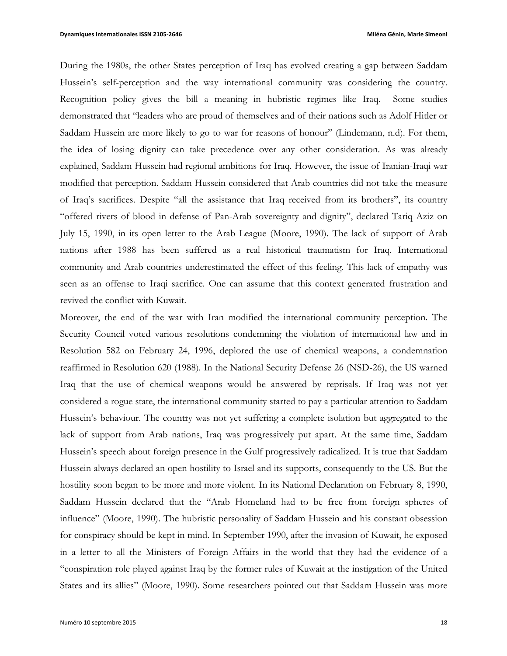During the 1980s, the other States perception of Iraq has evolved creating a gap between Saddam Hussein's self-perception and the way international community was considering the country. Recognition policy gives the bill a meaning in hubristic regimes like Iraq. Some studies demonstrated that "leaders who are proud of themselves and of their nations such as Adolf Hitler or Saddam Hussein are more likely to go to war for reasons of honour" (Lindemann, n.d). For them, the idea of losing dignity can take precedence over any other consideration. As was already explained, Saddam Hussein had regional ambitions for Iraq. However, the issue of Iranian-Iraqi war modified that perception. Saddam Hussein considered that Arab countries did not take the measure of Iraq's sacrifices. Despite "all the assistance that Iraq received from its brothers", its country "offered rivers of blood in defense of Pan-Arab sovereignty and dignity", declared Tariq Aziz on July 15, 1990, in its open letter to the Arab League (Moore, 1990). The lack of support of Arab nations after 1988 has been suffered as a real historical traumatism for Iraq. International community and Arab countries underestimated the effect of this feeling. This lack of empathy was seen as an offense to Iraqi sacrifice. One can assume that this context generated frustration and revived the conflict with Kuwait.

Moreover, the end of the war with Iran modified the international community perception. The Security Council voted various resolutions condemning the violation of international law and in Resolution 582 on February 24, 1996, deplored the use of chemical weapons, a condemnation reaffirmed in Resolution 620 (1988). In the National Security Defense 26 (NSD-26), the US warned Iraq that the use of chemical weapons would be answered by reprisals. If Iraq was not yet considered a rogue state, the international community started to pay a particular attention to Saddam Hussein's behaviour. The country was not yet suffering a complete isolation but aggregated to the lack of support from Arab nations, Iraq was progressively put apart. At the same time, Saddam Hussein's speech about foreign presence in the Gulf progressively radicalized. It is true that Saddam Hussein always declared an open hostility to Israel and its supports, consequently to the US. But the hostility soon began to be more and more violent. In its National Declaration on February 8, 1990, Saddam Hussein declared that the "Arab Homeland had to be free from foreign spheres of influence" (Moore, 1990). The hubristic personality of Saddam Hussein and his constant obsession for conspiracy should be kept in mind. In September 1990, after the invasion of Kuwait, he exposed in a letter to all the Ministers of Foreign Affairs in the world that they had the evidence of a "conspiration role played against Iraq by the former rules of Kuwait at the instigation of the United States and its allies" (Moore, 1990). Some researchers pointed out that Saddam Hussein was more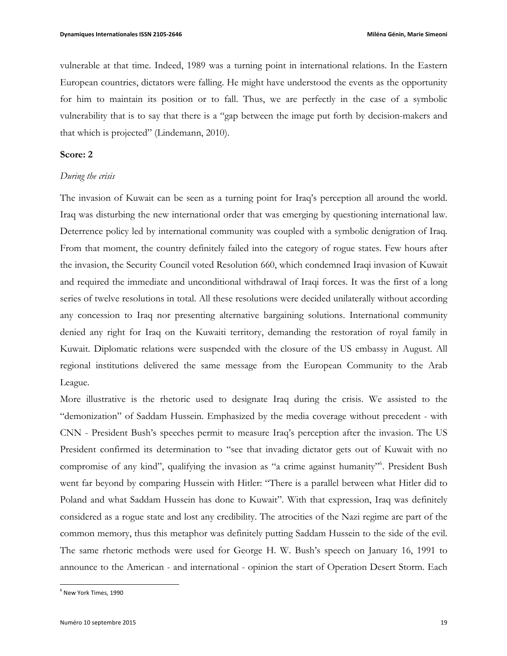vulnerable at that time. Indeed, 1989 was a turning point in international relations. In the Eastern European countries, dictators were falling. He might have understood the events as the opportunity for him to maintain its position or to fall. Thus, we are perfectly in the case of a symbolic vulnerability that is to say that there is a "gap between the image put forth by decision-makers and that which is projected" (Lindemann, 2010).

#### **Score: 2**

#### *During the crisis*

The invasion of Kuwait can be seen as a turning point for Iraq's perception all around the world. Iraq was disturbing the new international order that was emerging by questioning international law. Deterrence policy led by international community was coupled with a symbolic denigration of Iraq. From that moment, the country definitely failed into the category of rogue states. Few hours after the invasion, the Security Council voted Resolution 660, which condemned Iraqi invasion of Kuwait and required the immediate and unconditional withdrawal of Iraqi forces. It was the first of a long series of twelve resolutions in total. All these resolutions were decided unilaterally without according any concession to Iraq nor presenting alternative bargaining solutions. International community denied any right for Iraq on the Kuwaiti territory, demanding the restoration of royal family in Kuwait. Diplomatic relations were suspended with the closure of the US embassy in August. All regional institutions delivered the same message from the European Community to the Arab League.

More illustrative is the rhetoric used to designate Iraq during the crisis. We assisted to the "demonization" of Saddam Hussein. Emphasized by the media coverage without precedent - with CNN - President Bush's speeches permit to measure Iraq's perception after the invasion. The US President confirmed its determination to "see that invading dictator gets out of Kuwait with no compromise of any kind", qualifying the invasion as "a crime against humanity"<sup>6</sup>. President Bush went far beyond by comparing Hussein with Hitler: "There is a parallel between what Hitler did to Poland and what Saddam Hussein has done to Kuwait". With that expression, Iraq was definitely considered as a rogue state and lost any credibility. The atrocities of the Nazi regime are part of the common memory, thus this metaphor was definitely putting Saddam Hussein to the side of the evil. The same rhetoric methods were used for George H. W. Bush's speech on January 16, 1991 to announce to the American - and international - opinion the start of Operation Desert Storm. Each

 $<sup>6</sup>$  New York Times, 1990</sup>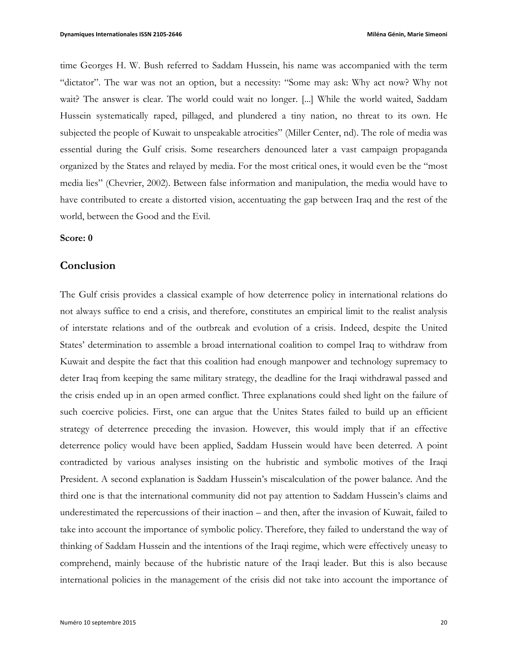time Georges H. W. Bush referred to Saddam Hussein, his name was accompanied with the term "dictator". The war was not an option, but a necessity: "Some may ask: Why act now? Why not wait? The answer is clear. The world could wait no longer. [...] While the world waited, Saddam Hussein systematically raped, pillaged, and plundered a tiny nation, no threat to its own. He subjected the people of Kuwait to unspeakable atrocities" (Miller Center, nd). The role of media was essential during the Gulf crisis. Some researchers denounced later a vast campaign propaganda organized by the States and relayed by media. For the most critical ones, it would even be the "most media lies" (Chevrier, 2002). Between false information and manipulation, the media would have to have contributed to create a distorted vision, accentuating the gap between Iraq and the rest of the world, between the Good and the Evil.

### **Score: 0**

### **Conclusion**

The Gulf crisis provides a classical example of how deterrence policy in international relations do not always suffice to end a crisis, and therefore, constitutes an empirical limit to the realist analysis of interstate relations and of the outbreak and evolution of a crisis. Indeed, despite the United States' determination to assemble a broad international coalition to compel Iraq to withdraw from Kuwait and despite the fact that this coalition had enough manpower and technology supremacy to deter Iraq from keeping the same military strategy, the deadline for the Iraqi withdrawal passed and the crisis ended up in an open armed conflict. Three explanations could shed light on the failure of such coercive policies. First, one can argue that the Unites States failed to build up an efficient strategy of deterrence preceding the invasion. However, this would imply that if an effective deterrence policy would have been applied, Saddam Hussein would have been deterred. A point contradicted by various analyses insisting on the hubristic and symbolic motives of the Iraqi President. A second explanation is Saddam Hussein's miscalculation of the power balance. And the third one is that the international community did not pay attention to Saddam Hussein's claims and underestimated the repercussions of their inaction – and then, after the invasion of Kuwait, failed to take into account the importance of symbolic policy. Therefore, they failed to understand the way of thinking of Saddam Hussein and the intentions of the Iraqi regime, which were effectively uneasy to comprehend, mainly because of the hubristic nature of the Iraqi leader. But this is also because international policies in the management of the crisis did not take into account the importance of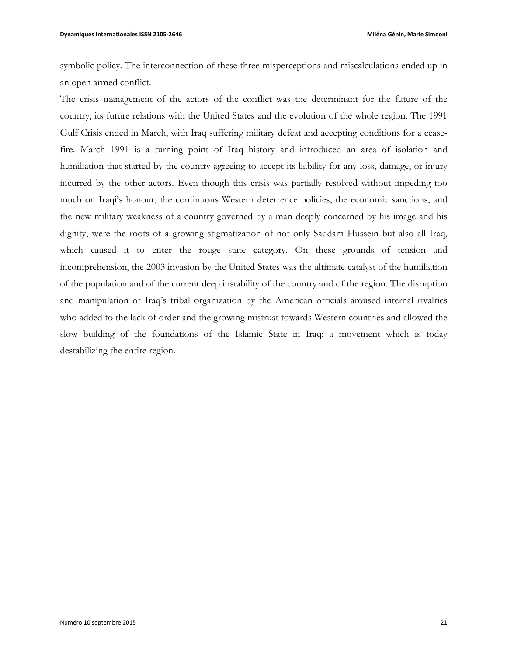symbolic policy. The interconnection of these three misperceptions and miscalculations ended up in an open armed conflict.

The crisis management of the actors of the conflict was the determinant for the future of the country, its future relations with the United States and the evolution of the whole region. The 1991 Gulf Crisis ended in March, with Iraq suffering military defeat and accepting conditions for a ceasefire. March 1991 is a turning point of Iraq history and introduced an area of isolation and humiliation that started by the country agreeing to accept its liability for any loss, damage, or injury incurred by the other actors. Even though this crisis was partially resolved without impeding too much on Iraqi's honour, the continuous Western deterrence policies, the economic sanctions, and the new military weakness of a country governed by a man deeply concerned by his image and his dignity, were the roots of a growing stigmatization of not only Saddam Hussein but also all Iraq, which caused it to enter the rouge state category. On these grounds of tension and incomprehension, the 2003 invasion by the United States was the ultimate catalyst of the humiliation of the population and of the current deep instability of the country and of the region. The disruption and manipulation of Iraq's tribal organization by the American officials aroused internal rivalries who added to the lack of order and the growing mistrust towards Western countries and allowed the slow building of the foundations of the Islamic State in Iraq: a movement which is today destabilizing the entire region.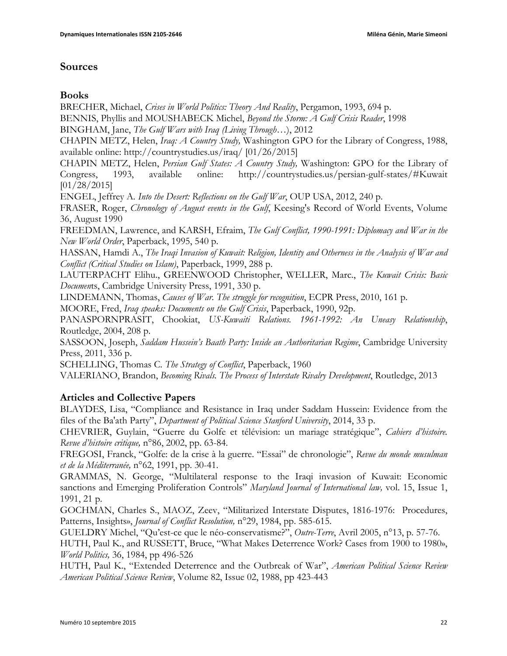## **Sources**

## **Books**

BRECHER, Michael, *Crises in World Politics: Theory And Reality*, Pergamon, 1993, 694 p.

BENNIS, Phyllis and MOUSHABECK Michel, *Beyond the Storm: A Gulf Crisis Reader*, 1998

BINGHAM, Jane, *The Gulf Wars with Iraq (Living Through…*), 2012

CHAPIN METZ, Helen, *Iraq: A Country Study,* Washington GPO for the Library of Congress, 1988, available online: http://countrystudies.us/iraq/ [01/26/2015]

CHAPIN METZ, Helen, *Persian Gulf States: A Country Study,* Washington: GPO for the Library of Congress, 1993, available online: http://countrystudies.us/persian-gulf-states/#Kuwait [01/28/2015]

ENGEL, Jeffrey A*. Into the Desert: Reflections on the Gulf War*, OUP USA, 2012, 240 p.

FRASER, Roger, *Chronology of August events in the Gulf*, Keesing's Record of World Events, Volume 36, August 1990

FREEDMAN, Lawrence, and KARSH, Efraim, *The Gulf Conflict, 1990-1991: Diplomacy and War in the New World Order*, Paperback, 1995, 540 p.

HASSAN, Hamdi A., *The Iraqi Invasion of Kuwait: Religion, Identity and Otherness in the Analysis of War and Conflict (Critical Studies on Islam)*, Paperback, 1999, 288 p.

LAUTERPACHT Elihu., GREENWOOD Christopher, WELLER, Marc., *The Kuwait Crisis: Basic Documen*ts, Cambridge University Press, 1991, 330 p.

LINDEMANN, Thomas, *Causes of War. The struggle for recognition*, ECPR Press, 2010, 161 p.

MOORE, Fred, *Iraq speaks: Documents on the Gulf Crisis*, Paperback, 1990, 92p.

PANASPORNPRASIT, Chookiat, *US-Kuwaiti Relations. 1961-1992: An Uneasy Relationship*, Routledge, 2004, 208 p.

SASSOON, Joseph, *Saddam Hussein's Baath Party: Inside an Authoritarian Regime*, Cambridge University Press, 2011, 336 p.

SCHELLING, Thomas C*. The Strategy of Conflict*, Paperback, 1960

VALERIANO, Brandon, *Becoming Rivals. The Process of Interstate Rivalry Development*, Routledge, 2013

## **Articles and Collective Papers**

BLAYDES, Lisa, "Compliance and Resistance in Iraq under Saddam Hussein: Evidence from the files of the Ba'ath Party", *Department of Political Science Stanford University*, 2014, 33 p.

CHEVRIER, Guylain, "Guerre du Golfe et télévision: un mariage stratégique", *Cahiers d'histoire. Revue d'histoire critique,* n°86, 2002, pp. 63-84.

FREGOSI, Franck, "Golfe: de la crise à la guerre. "Essai" de chronologie", *Revue du monde musulman et de la Méditerranée,* n°62, 1991, pp. 30-41.

GRAMMAS, N. George, "Multilateral response to the Iraqi invasion of Kuwait: Economic sanctions and Emerging Proliferation Controls" *Maryland Journal of International law,* vol. 15, Issue 1, 1991, 21 p.

GOCHMAN, Charles S., MAOZ, Zeev, "Militarized Interstate Disputes, 1816-1976: Procedures, Patterns, Insights», *Journal of Conflict Resolution,* n°29, 1984, pp. 585-615.

GUELDRY Michel, "Qu'est-ce que le néo-conservatisme?", *Outre-Terre*, Avril 2005, n°13, p. 57-76.

HUTH, Paul K., and RUSSETT, Bruce, "What Makes Deterrence Work? Cases from 1900 to 1980», *World Politics,* 36, 1984, pp 496-526

HUTH, Paul K., "Extended Deterrence and the Outbreak of War", *American Political Science Review American Political Science Review*, Volume 82, Issue 02, 1988, pp 423-443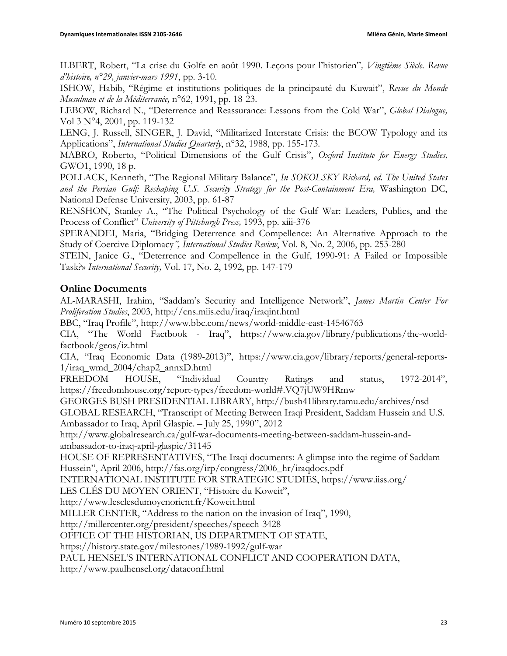ILBERT, Robert, "La crise du Golfe en août 1990. Leçons pour l'historien"*, Vingtième Siècle. Revue d'histoire, n°29, janvier-mars 1991*, pp. 3-10.

ISHOW, Habib, "Régime et institutions politiques de la principauté du Kuwait", *Revue du Monde Musulman et de la Méditerranée,* n°62, 1991, pp. 18-23.

LEBOW, Richard N., "Deterrence and Reassurance: Lessons from the Cold War", *Global Dialogue,*  Vol 3 N°4, 2001, pp. 119-132

LENG, J. Russell, SINGER, J. David, "Militarized Interstate Crisis: the BCOW Typology and its Applications", *International Studies Quarterly*, n°32, 1988, pp. 155-173.

MABRO, Roberto, "Political Dimensions of the Gulf Crisis", *Oxford Institute for Energy Studies,*  GWO1, 1990, 18 p.

POLLACK, Kenneth, "The Regional Military Balance", *In SOKOLSKY Richard, ed. The United States and the Persian Gulf: Reshaping U.S. Security Strategy for the Post-Containment Era,* Washington DC, National Defense University, 2003, pp. 61-87

RENSHON, Stanley A., "The Political Psychology of the Gulf War: Leaders, Publics, and the Process of Conflict" *University of Pittsburgh Press,* 1993, pp. xiii-376

SPERANDEI, Maria, "Bridging Deterrence and Compellence: An Alternative Approach to the Study of Coercive Diplomacy*", International Studies Review*, Vol. 8, No. 2, 2006, pp. 253-280

STEIN, Janice G., "Deterrence and Compellence in the Gulf, 1990-91: A Failed or Impossible Task?» *International Security,* Vol. 17, No. 2, 1992, pp. 147-179

## **Online Documents**

AL-MARASHI, Irahim, "Saddam's Security and Intelligence Network", *James Martin Center For Proliferation Studies*, 2003, http://cns.miis.edu/iraq/iraqint.html

BBC, "Iraq Profile", http://www.bbc.com/news/world-middle-east-14546763

CIA, "The World Factbook - Iraq", https://www.cia.gov/library/publications/the-worldfactbook/geos/iz.html

CIA, "Iraq Economic Data (1989-2013)", https://www.cia.gov/library/reports/general-reports-1/iraq\_wmd\_2004/chap2\_annxD.html

FREEDOM HOUSE, "Individual Country Ratings and status, 1972-2014", https://freedomhouse.org/report-types/freedom-world#.VQ7jUW9HRmw

GEORGES BUSH PRESIDENTIAL LIBRARY, http://bush41library.tamu.edu/archives/nsd

GLOBAL RESEARCH, "Transcript of Meeting Between Iraqi President, Saddam Hussein and U.S. Ambassador to Iraq, April Glaspie. – July 25, 1990", 2012

http://www.globalresearch.ca/gulf-war-documents-meeting-between-saddam-hussein-andambassador-to-iraq-april-glaspie/31145

HOUSE OF REPRESENTATIVES, "The Iraqi documents: A glimpse into the regime of Saddam Hussein", April 2006, http://fas.org/irp/congress/2006\_hr/iraqdocs.pdf

INTERNATIONAL INSTITUTE FOR STRATEGIC STUDIES, https://www.iiss.org/

LES CLÉS DU MOYEN ORIENT, "Histoire du Koweit",

http://www.lesclesdumoyenorient.fr/Koweit.html

MILLER CENTER, "Address to the nation on the invasion of Iraq", 1990,

http://millercenter.org/president/speeches/speech-3428

OFFICE OF THE HISTORIAN, US DEPARTMENT OF STATE,

https://history.state.gov/milestones/1989-1992/gulf-war

PAUL HENSEL'S INTERNATIONAL CONFLICT AND COOPERATION DATA,

http://www.paulhensel.org/dataconf.html